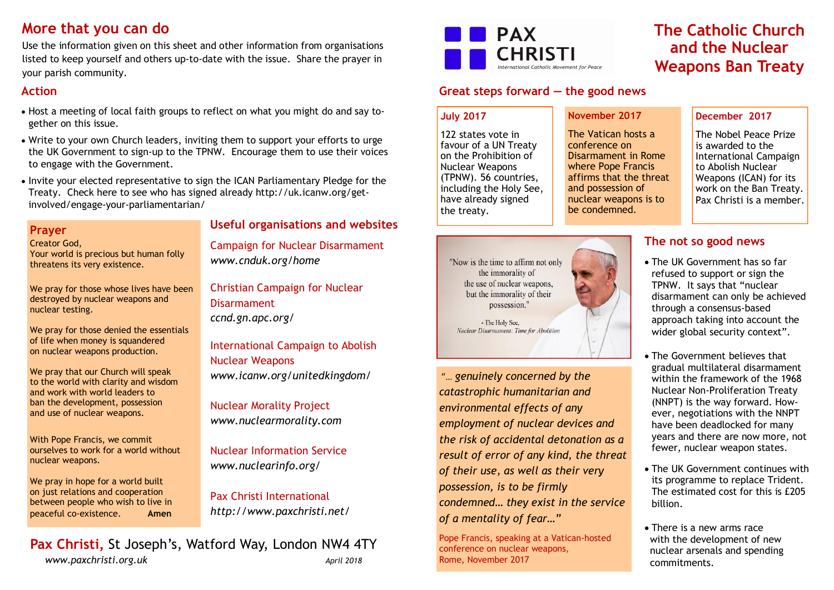# **More that you can do**

Use the information given on this sheet and other information from organisations listed to keep yourself and others up-to-date with the issue. Share the prayer in your parish community.

## **Action**

- · Host a meeting of local faith groups to reflect on what you might do and say together on this issue.
- · Write to your own Church leaders, inviting them to support your efforts to urge the UK Government to sign-up to the TPNW. Encourage them to use their voices to engage with the Government.
- · Invite your elected representative to sign the ICAN Parliamentary Pledge for the Treaty. Check here to see who has signed already http://uk.icanw.org/getinvolved/engage-your-parliamentarian/

#### **Prayer**

Creator God, Your world is precious but human folly threatens its very existence.

We pray for those whose lives have been destroyed by nuclear weapons and nuclear testing.

We pray for those denied the essentials of life when money is squandered on nuclear weapons production.

We pray that our Church will speak to the world with clarity and wisdom and work with world leaders to ban the development, possession and use of nuclear weapons.

With Pope Francis, we commit ourselves to work for a world without nuclear weapons.

We pray in hope for a world built on just relations and cooperation between people who wish to live in peaceful co-existence. **Amen**

### **Useful organisations and websites**

Campaign for Nuclear Disarmament *www.cnduk.org/home*

Christian Campaign for Nuclear **Disarmament** *ccnd.gn.apc.org/*

International Campaign to Abolish Nuclear Weapons *www.icanw.org/unitedkingdom/*

Nuclear Morality Project *www.nuclearmorality.com*

Nuclear Information Service *www.nuclearinfo.org/*

Pax Christi International *http://www.paxchristi.net/*

**Pax Christi,** St Joseph's, Watford Way, London NW4 4TY *www.paxchristi.org.uk April 2018* 

# **PAX CHRISTI** national Catholic Movement for Peace

## **Great steps forward — the good news**

#### **July 2017**

122 states vote in favour of a UN Treaty on the Prohibition of Nuclear Weapons (TPNW). 56 countries, including the Holy See, have already signed the treaty.

### **November 2017**

The Vatican hosts a conference on Disarmament in Rome where Pope Francis affirms that the threat and possession of nuclear weapons is to be condemned.



**The Catholic Church and the Nuclear Weapons Ban Treaty**

> The Nobel Peace Prize is awarded to the International Campaign to Abolish Nuclear Weapons (ICAN) for its work on the Ban Treaty. Pax Christi is a member.

## **The not so good news**

- · The UK Government has so far refused to support or sign the TPNW. It says that "nuclear disarmament can only be achieved through a consensus-based approach taking into account the wider global security context".
- · The Government believes that gradual multilateral disarmament within the framework of the 1968 Nuclear Non-Proliferation Treaty (NNPT) is the way forward. However, negotiations with the NNPT have been deadlocked for many years and there are now more, not fewer, nuclear weapon states.
- · The UK Government continues with its programme to replace Trident. The estimated cost for this is £205 billion.
- · There is a new arms race with the development of new nuclear arsenals and spending commitments.



"… *genuinely concerned by the catastrophic humanitarian and environmental effects of any employment of nuclear devices and the risk of accidental detonation as a result of error of any kind, the threat of their use, as well as their very possession, is to be firmly condemned… they exist in the service of a mentality of fear…"*

Pope Francis, speaking at a Vatican-hosted conference on nuclear weapons, Rome, November 2017